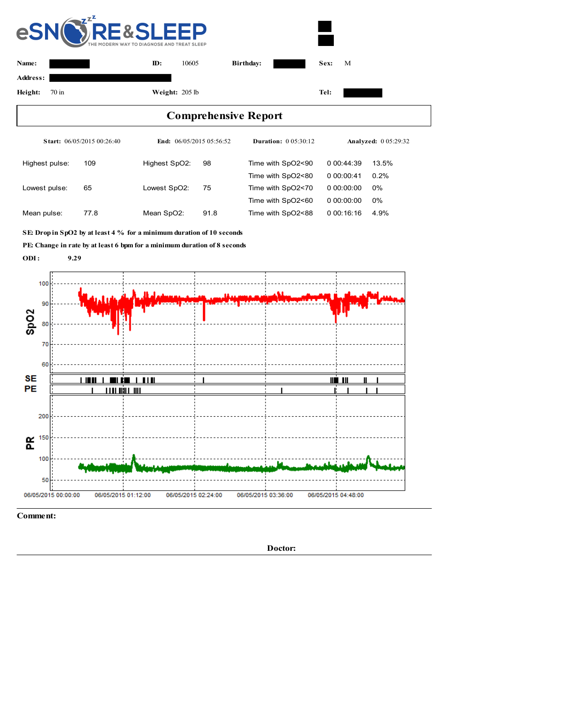

**Comment:**

**Doctor:**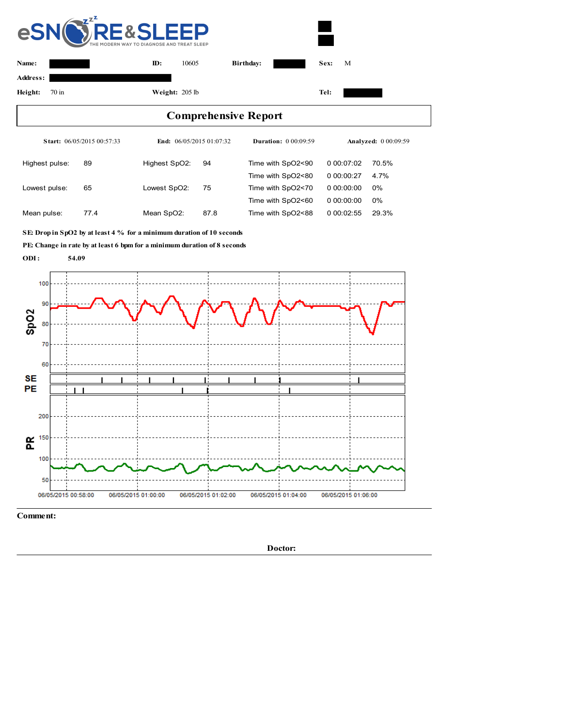

**Comment:**

**Doctor:**